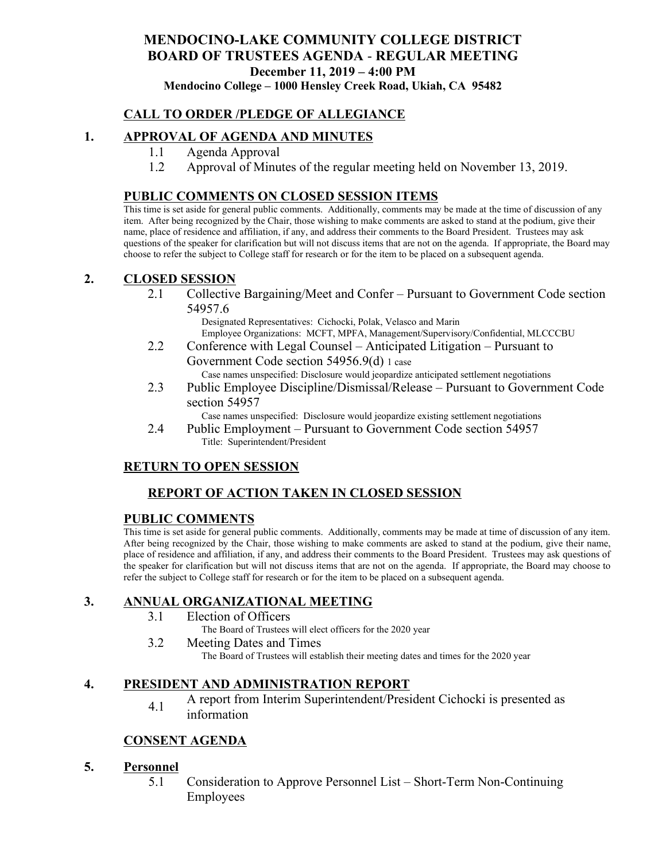# **MENDOCINO-LAKE COMMUNITY COLLEGE DISTRICT BOARD OF TRUSTEES AGENDA** - **REGULAR MEETING December 11, 2019 – 4:00 PM**

**Mendocino College – 1000 Hensley Creek Road, Ukiah, CA 95482**

## **CALL TO ORDER /PLEDGE OF ALLEGIANCE**

## **1. APPROVAL OF AGENDA AND MINUTES**

- 1.1 Agenda Approval
- 1.2 Approval of Minutes of the regular meeting held on November 13, 2019.

### **PUBLIC COMMENTS ON CLOSED SESSION ITEMS**

This time is set aside for general public comments. Additionally, comments may be made at the time of discussion of any item. After being recognized by the Chair, those wishing to make comments are asked to stand at the podium, give their name, place of residence and affiliation, if any, and address their comments to the Board President. Trustees may ask questions of the speaker for clarification but will not discuss items that are not on the agenda. If appropriate, the Board may choose to refer the subject to College staff for research or for the item to be placed on a subsequent agenda.

### **2. CLOSED SESSION**

2.1 Collective Bargaining/Meet and Confer – Pursuant to Government Code section 54957.6

Designated Representatives: Cichocki, Polak, Velasco and Marin Employee Organizations: MCFT, MPFA, Management/Supervisory/Confidential, MLCCCBU

2.2 Conference with Legal Counsel – Anticipated Litigation – Pursuant to Government Code section 54956.9(d) 1 case

Case names unspecified: Disclosure would jeopardize anticipated settlement negotiations

2.3 Public Employee Discipline/Dismissal/Release – Pursuant to Government Code section 54957

Case names unspecified: Disclosure would jeopardize existing settlement negotiations

2.4 Public Employment – Pursuant to Government Code section 54957 Title: Superintendent/President

## **RETURN TO OPEN SESSION**

## **REPORT OF ACTION TAKEN IN CLOSED SESSION**

## **PUBLIC COMMENTS**

This time is set aside for general public comments. Additionally, comments may be made at time of discussion of any item. After being recognized by the Chair, those wishing to make comments are asked to stand at the podium, give their name, place of residence and affiliation, if any, and address their comments to the Board President. Trustees may ask questions of the speaker for clarification but will not discuss items that are not on the agenda. If appropriate, the Board may choose to refer the subject to College staff for research or for the item to be placed on a subsequent agenda.

## **3. ANNUAL ORGANIZATIONAL MEETING**

- 3.1 Election of Officers
	- The Board of Trustees will elect officers for the 2020 year
- 3.2 Meeting Dates and Times The Board of Trustees will establish their meeting dates and times for the 2020 year

## **4. PRESIDENT AND ADMINISTRATION REPORT**

4.1 A report from Interim Superintendent/President Cichocki is presented as information

## **CONSENT AGENDA**

#### **5. Personnel**

5.1 Consideration to Approve Personnel List – Short-Term Non-Continuing Employees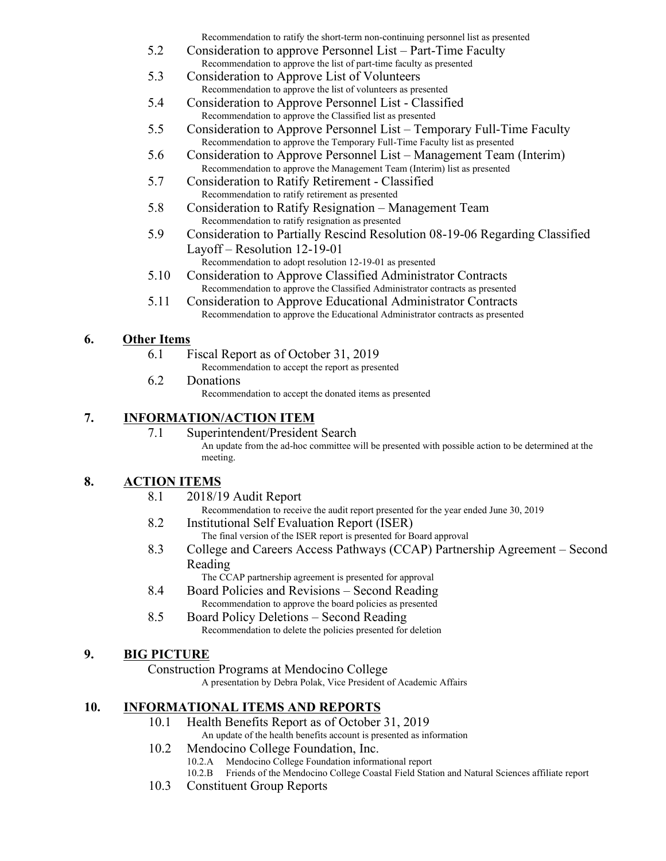Recommendation to ratify the short-term non-continuing personnel list as presented

- 5.2 Consideration to approve Personnel List Part-Time Faculty Recommendation to approve the list of part-time faculty as presented
- 5.3 Consideration to Approve List of Volunteers Recommendation to approve the list of volunteers as presented
- 5.4 Consideration to Approve Personnel List Classified Recommendation to approve the Classified list as presented
- 5.5 Consideration to Approve Personnel List Temporary Full-Time Faculty Recommendation to approve the Temporary Full-Time Faculty list as presented
- 5.6 Consideration to Approve Personnel List Management Team (Interim) Recommendation to approve the Management Team (Interim) list as presented
- 5.7 Consideration to Ratify Retirement Classified Recommendation to ratify retirement as presented
- 5.8 Consideration to Ratify Resignation Management Team Recommendation to ratify resignation as presented
- 5.9 Consideration to Partially Rescind Resolution 08-19-06 Regarding Classified Layoff – Resolution 12-19-01
	- Recommendation to adopt resolution 12-19-01 as presented
- 5.10 Consideration to Approve Classified Administrator Contracts Recommendation to approve the Classified Administrator contracts as presented
- 5.11 Consideration to Approve Educational Administrator Contracts Recommendation to approve the Educational Administrator contracts as presented

## **6. Other Items**

- 6.1 Fiscal Report as of October 31, 2019
	- Recommendation to accept the report as presented
- 6.2 Donations

Recommendation to accept the donated items as presented

## **7. INFORMATION/ACTION ITEM**

7.1 Superintendent/President Search An update from the ad-hoc committee will be presented with possible action to be determined at the meeting.

# **8. ACTION ITEMS**

- 8.1 2018/19 Audit Report
	- Recommendation to receive the audit report presented for the year ended June 30, 2019
- 8.2 Institutional Self Evaluation Report (ISER) The final version of the ISER report is presented for Board approval
- 8.3 College and Careers Access Pathways (CCAP) Partnership Agreement Second Reading

The CCAP partnership agreement is presented for approval

- 8.4 Board Policies and Revisions Second Reading Recommendation to approve the board policies as presented
- 8.5 Board Policy Deletions Second Reading Recommendation to delete the policies presented for deletion

## **9. BIG PICTURE**

Construction Programs at Mendocino College

A presentation by Debra Polak, Vice President of Academic Affairs

## **10. INFORMATIONAL ITEMS AND REPORTS**

- 10.1 Health Benefits Report as of October 31, 2019
	- An update of the health benefits account is presented as information
- 10.2 Mendocino College Foundation, Inc.
	- 10.2.A Mendocino College Foundation informational report
	- 10.2.B Friends of the Mendocino College Coastal Field Station and Natural Sciences affiliate report
- 10.3 Constituent Group Reports